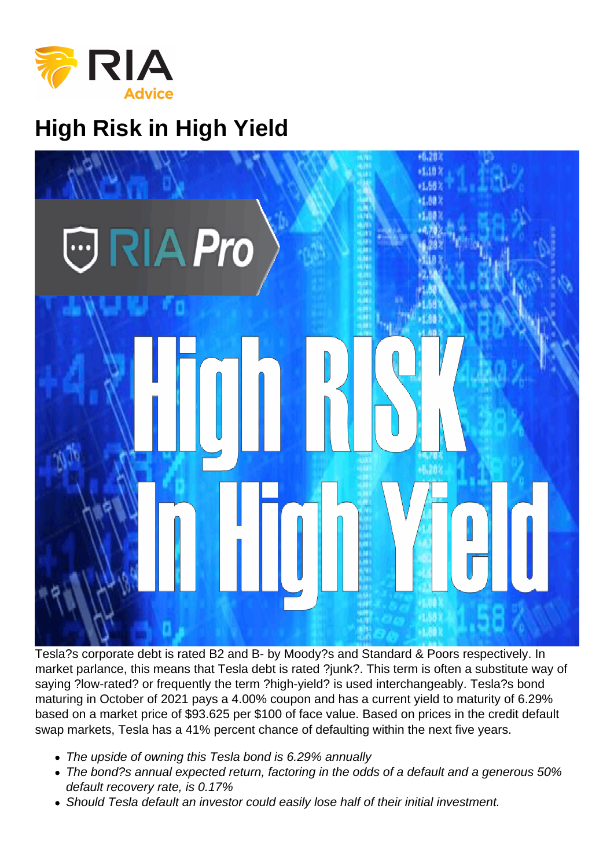High Risk in High Yield

Tesla?s corporate debt is rated B2 and B- by Moody?s and Standard & Poors respectively. In market parlance, this means that Tesla debt is rated ?junk?. This term is often a substitute way of saying ?low-rated? or frequently the term ?high-yield? is used interchangeably. Tesla?s bond maturing in October of 2021 pays a 4.00% coupon and has a current yield to maturity of 6.29% based on a market price of \$93.625 per \$100 of face value. Based on prices in the credit default swap markets, Tesla has a 41% percent chance of defaulting within the next five years.

- The upside of owning this Tesla bond is 6.29% annually
- The bond?s annual expected return, factoring in the odds of a default and a generous 50% default recovery rate, is 0.17%
- Should Tesla default an investor could easily lose half of their initial investment.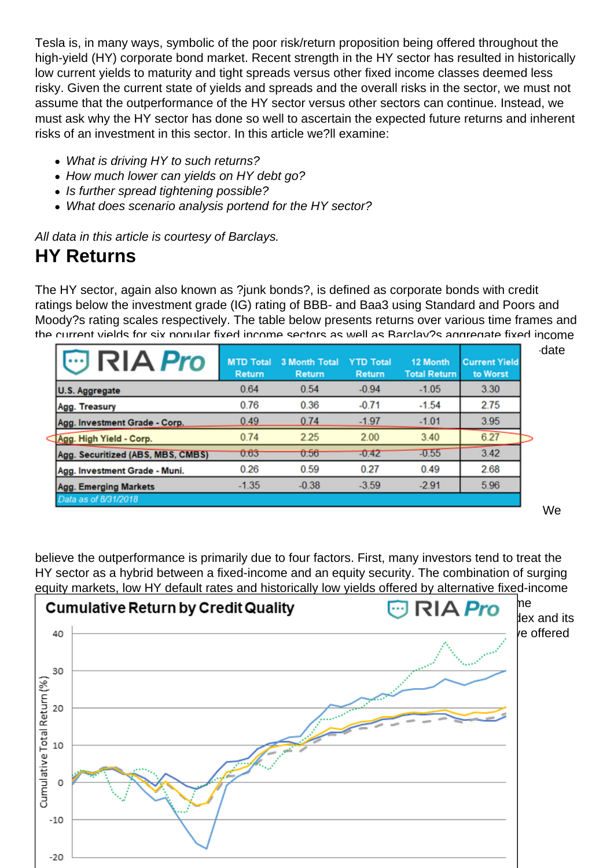Tesla is, in many ways, symbolic of the poor risk/return proposition being offered throughout the high-yield (HY) corporate bond market. Recent strength in the HY sector has resulted in historically low current yields to maturity and tight spreads versus other fixed income classes deemed less risky. Given the current state of yields and spreads and the overall risks in the sector, we must not assume that the outperformance of the HY sector versus other sectors can continue. Instead, we must ask why the HY sector has done so well to ascertain the expected future returns and inherent risks of an investment in this sector. In this article we?ll examine:

- What is driving HY to such returns?
- How much lower can vields on HY debt go?
- Is further spread tightening possible?
- What does scenario analysis portend for the HY sector?

All data in this article is courtesy of Barclays.

#### HY Returns

The HY sector, again also known as ?junk bonds?, is defined as corporate bonds with credit ratings below the investment grade (IG) rating of BBB- and Baa3 using Standard and Poors and Moody?s rating scales respectively. The table below presents returns over various time frames and the current yields for six popular fixed income sectors as well as Barclay?s aggregate fixed income [composite. As shown, the HY sector is clearly outperforming every other sector on a year-to-](https://realinvestmentadvice.com/wp-content/uploads/2018/09/1-table-1.png)date basis and over the last 12 months.

believe the outperformance is primarily due to four factors. First, many investors tend to treat the HY sector as a hybrid between a fixed-income and an equity security. The combination of surging equity markets, low HY default rates and historically low yields offered by alternative fixed-income [asset classes has led to a speculative rush of demand for HY from equity and fixed incom](https://realinvestmentadvice.com/wp-content/uploads/2018/09/2-hy-vs-spx.png)e investors. The following graph compares the performance between the HY aggregate index and its subcomponents to the S&P 500 since 2015. Note that highly risky, CCC-rated bonds have offered the most similar returns to the stock market.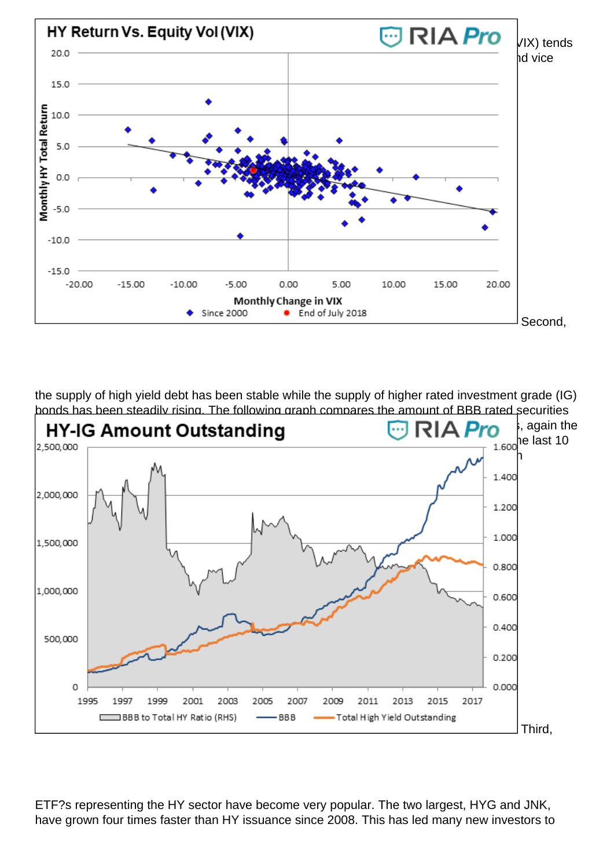[graph further highlights the correlation between stocks and HY. Implied equity volatility \(V](https://realinvestmentadvice.com/wp-content/uploads/2018/09/3-vix-vs-hy.png)IX) tends to be negatively correlated with stocks. As such, the VIX tends to rise when stocks fall and vice versa. Similar, HY returns tend to decline as VIX rises and vice versa.

Second,

the supply of high yield debt has been stable while the supply of higher rated investment grade (IG) bonds has been steadily rising. The following graph compares the amount of BBB rated securities [to the amount of HY bonds outstanding. As shown, the ratio of the amount of BBB bonds](https://realinvestmentadvice.com/wp-content/uploads/2018/09/4-supply.png), again the lowest rating that equates to ?investment grade, to HY bonds has been cut in half over the last 10 years. ?This is important to note as increased demand for HY has not been matched with increased supply thus resulting in higher prices and lower yields.

Third,

ETF?s representing the HY sector have become very popular. The two largest, HYG and JNK, have grown four times faster than HY issuance since 2008. This has led many new investors to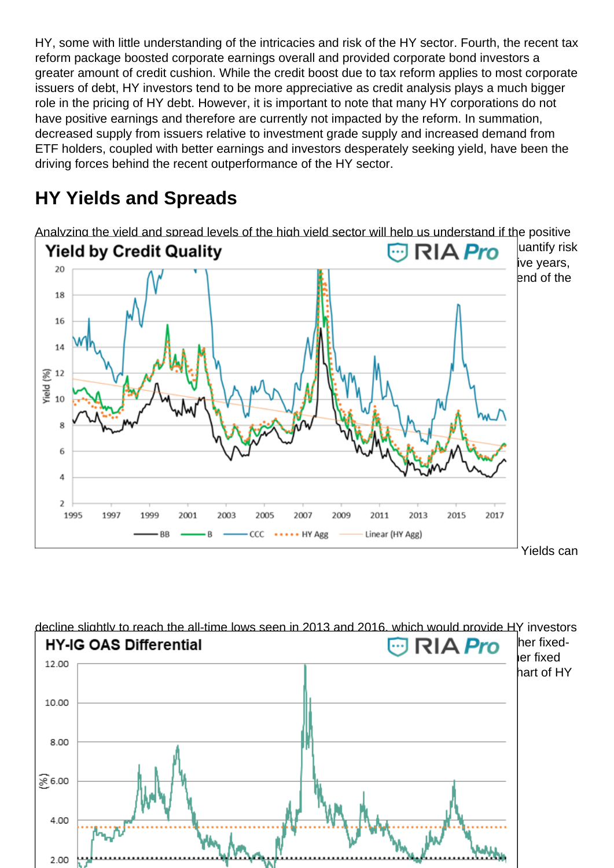HY, some with little understanding of the intricacies and risk of the HY sector. Fourth, the recent tax reform package boosted corporate earnings overall and provided corporate bond investors a greater amount of credit cushion. While the credit boost due to tax reform applies to most corporate issuers of debt, HY investors tend to be more appreciative as credit analysis plays a much bigger role in the pricing of HY debt. However, it is important to note that many HY corporations do not have positive earnings and therefore are currently not impacted by the reform. In summation, decreased supply from issuers relative to investment grade supply and increased demand from ETF holders, coupled with better earnings and investors desperately seeking yield, have been the driving forces behind the recent outperformance of the HY sector.

# HY Yields and Spreads

Analyzing the yield and spread levels of the high yield sector will help us understand if the positive [factors mentioned above can continue to result in appreciable returns. This will help us q](https://realinvestmentadvice.com/wp-content/uploads/2018/09/5-ylds.png)uantify risk and reward for the HY sector. As shown below, HY yields are not at the lows of the last five years, but they are at historically very low levels. The y-axis was truncated to better show the trend of the last 30 years.

Yields can

decline slightly to reach the all-time lows seen in 2013 and 2016, which would provide HY investors [marginal price gains. However, when we look at HY debt on a spread basis, or versus ot](https://realinvestmentadvice.com/wp-content/uploads/2018/09/6-oas.png)her fixedincome instruments, there appears to be little room for improvement. Spreads versus other fixed income products are at the tightest levels seen in over 20 years as shown below in the chart of HY to IG option adjusted spread (OAS) differential.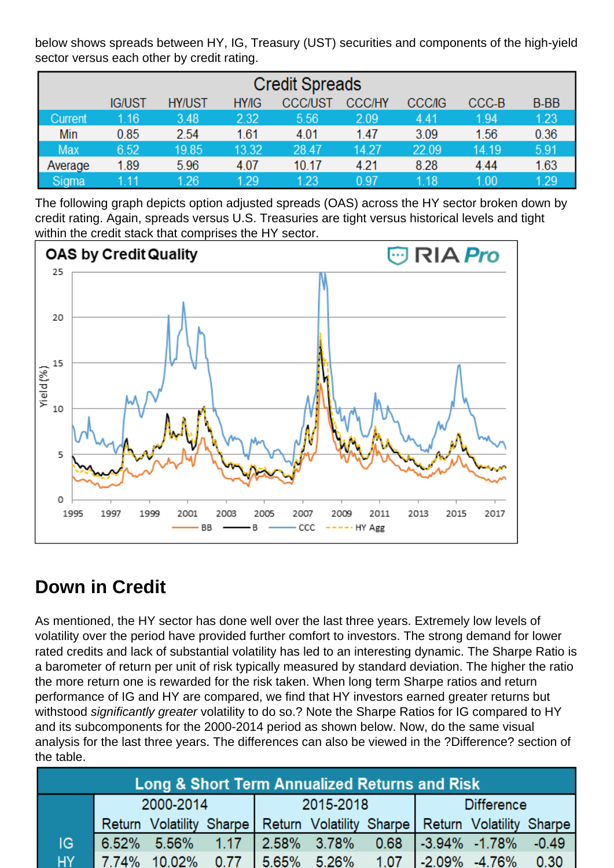below shows spreads between HY, IG, Treasury (UST) securities and components of the high-yield sector versus each other by credit rating.

The following graph depicts option adjusted spreads (OAS) across the HY sector broken down by credit rating. Again, spreads versus U.S. Treasuries are tight versus historical levels and tight within the credit stack that comprises the HY sector.

### Down in Credit

As mentioned, the HY sector has done well over the last three years. Extremely low levels of volatility over the period have provided further comfort to investors. The strong demand for lower rated credits and lack of substantial volatility has led to an interesting dynamic. The Sharpe Ratio is a barometer of return per unit of risk typically measured by standard deviation. The higher the ratio the more return one is rewarded for the risk taken. When long term Sharpe ratios and return performance of IG and HY are compared, we find that HY investors earned greater returns but withstood significantly greater volatility to do so.? Note the Sharpe Ratios for IG compared to HY and its subcomponents for the 2000-2014 period as shown below. Now, do the same visual analysis for the last three years. The differences can also be viewed in the ?Difference? section of the table.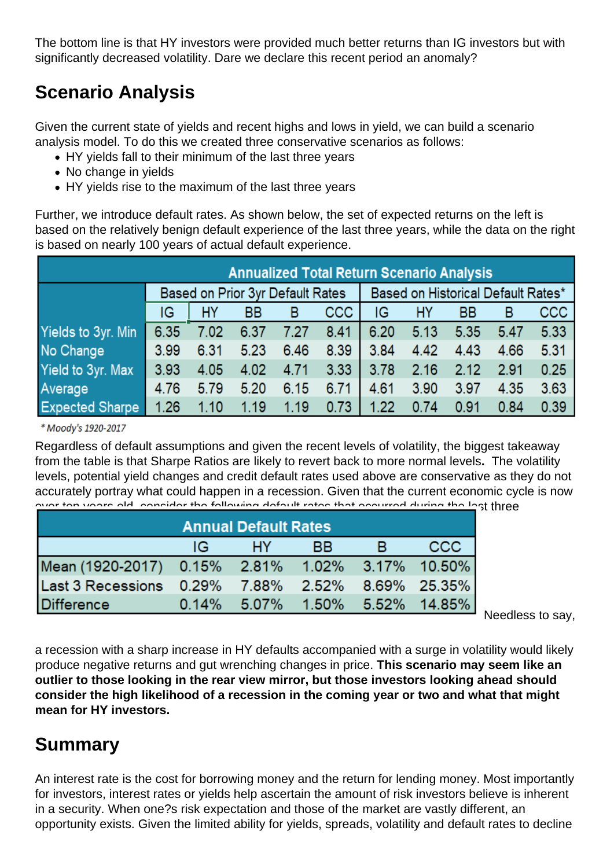The bottom line is that HY investors were provided much better returns than IG investors but with significantly decreased volatility. Dare we declare this recent period an anomaly?

## Scenario Analysis

Given the current state of yields and recent highs and lows in yield, we can build a scenario analysis model. To do this we created three conservative scenarios as follows:

- HY yields fall to their minimum of the last three years
- No change in yields
- HY vields rise to the maximum of the last three years

Further, we introduce default rates. As shown below, the set of expected returns on the left is based on the relatively benign default experience of the last three years, while the data on the right is based on nearly 100 years of actual default experience.

Regardless of default assumptions and given the recent levels of volatility, the biggest takeaway from the table is that Sharpe Ratios are likely to revert back to more normal levels. The volatility levels, potential yield changes and credit default rates used above are conservative as they do not accurately portray what could happen in a recession. Given that the current economic cycle is now [over ten years old, consider the following default rates that occurred during the las](https://realinvestmentadvice.com/wp-content/uploads/2018/09/11-default.png)t three recessions as compared to historical mean.

#### Needless to say,

a recession with a sharp increase in HY defaults accompanied with a surge in volatility would likely produce negative returns and gut wrenching changes in price. This scenario may seem like an outlier to those looking in the rear view mirror, but those investors looking ahead should consider the high likelihood of a recession in the coming year or two and what that might mean for HY investors.

### Summary

An interest rate is the cost for borrowing money and the return for lending money. Most importantly for investors, interest rates or yields help ascertain the amount of risk investors believe is inherent in a security. When one?s risk expectation and those of the market are vastly different, an opportunity exists. Given the limited ability for yields, spreads, volatility and default rates to decline